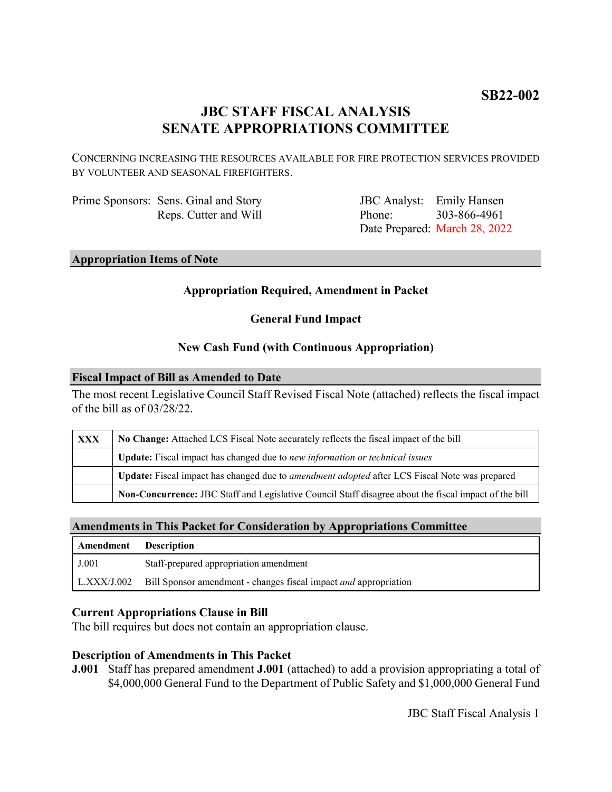# **JBC STAFF FISCAL ANALYSIS SENATE APPROPRIATIONS COMMITTEE**

CONCERNING INCREASING THE RESOURCES AVAILABLE FOR FIRE PROTECTION SERVICES PROVIDED BY VOLUNTEER AND SEASONAL FIREFIGHTERS.

Prime Sponsors: Sens. Ginal and Story Reps. Cutter and Will

JBC Analyst: Emily Hansen Phone: Date Prepared: March 28, 2022 303-866-4961

### **Appropriation Items of Note**

#### **Appropriation Required, Amendment in Packet**

**General Fund Impact**

#### **New Cash Fund (with Continuous Appropriation)**

#### **Fiscal Impact of Bill as Amended to Date**

The most recent Legislative Council Staff Revised Fiscal Note (attached) reflects the fiscal impact of the bill as of 03/28/22.

| XXX | No Change: Attached LCS Fiscal Note accurately reflects the fiscal impact of the bill                 |
|-----|-------------------------------------------------------------------------------------------------------|
|     | Update: Fiscal impact has changed due to new information or technical issues                          |
|     | Update: Fiscal impact has changed due to <i>amendment adopted</i> after LCS Fiscal Note was prepared  |
|     | Non-Concurrence: JBC Staff and Legislative Council Staff disagree about the fiscal impact of the bill |

#### **Amendments in This Packet for Consideration by Appropriations Committee**

| Amendment Description |                                                                         |
|-----------------------|-------------------------------------------------------------------------|
| J.001                 | Staff-prepared appropriation amendment                                  |
| L.XXX/J.002           | Bill Sponsor amendment - changes fiscal impact <i>and</i> appropriation |

#### **Current Appropriations Clause in Bill**

The bill requires but does not contain an appropriation clause.

#### **Description of Amendments in This Packet**

**J.001** Staff has prepared amendment **J.001** (attached) to add a provision appropriating a total of \$4,000,000 General Fund to the Department of Public Safety and \$1,000,000 General Fund